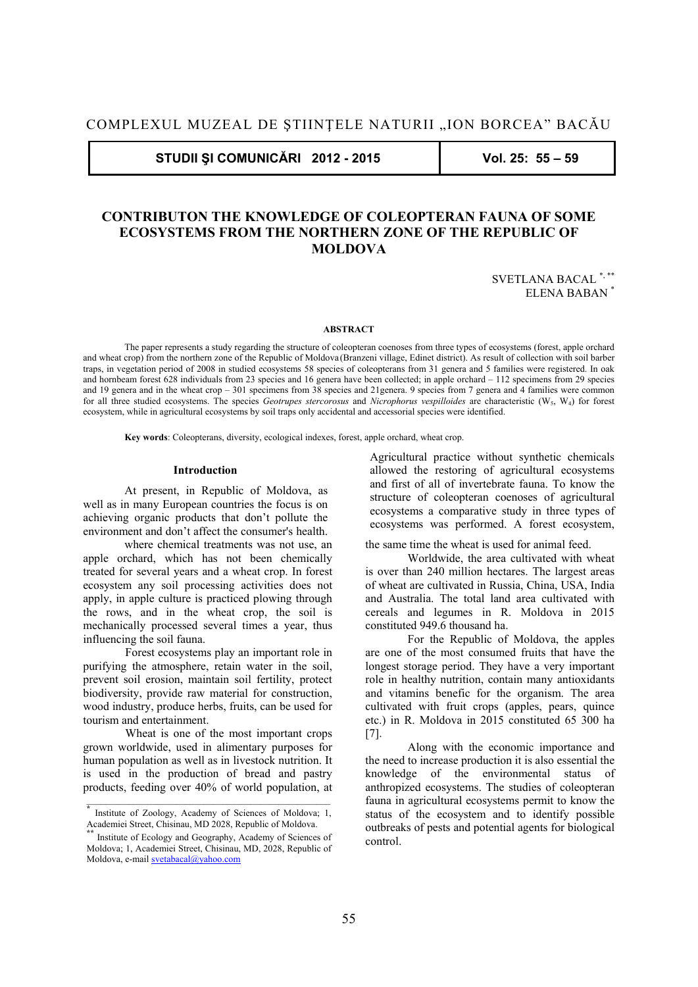**STUDII ŞI COMUNICĂRI 2012 - 2015 Vol. 25: 55 – 59** 

# **CONTRIBUTON THE KNOWLEDGE OF COLEOPTERAN FAUNA OF SOME ECOSYSTEMS FROM THE NORTHERN ZONE OF THE REPUBLIC OF MOLDOVA**

SVETLANA BACAL \*, \*\* ELENA BABAN \*

#### **ABSTRACT**

The paper represents a study regarding the structure of coleopteran coenoses from three types of ecosystems (forest, apple orchard and wheat crop) from the northern zone of the Republic of Moldova (Branzeni village, Edinet district). As result of collection with soil barber traps, in vegetation period of 2008 in studied ecosystems 58 species of coleopterans from 31 genera and 5 families were registered. In oak and hornbeam forest 628 individuals from 23 species and 16 genera have been collected; in apple orchard – 112 specimens from 29 species and 19 genera and in the wheat crop – 301 specimens from 38 species and 21genera. 9 species from 7 genera and 4 families were common for all three studied ecosystems. The species *Geotrupes stercorosus* and *Nicrophorus vespilloides* are characteristic (W5, W4) for forest ecosystem, while in agricultural ecosystems by soil traps only accidental and accessorial species were identified.

**Key words**: Coleopterans, diversity, ecological indexes, forest, apple orchard, wheat crop.

## **Introduction**

At present, in Republic of Moldova, as well as in many European countries the focus is on achieving organic products that don't pollute the environment and don't affect the consumer's health.

where chemical treatments was not use, an apple orchard, which has not been chemically treated for several years and a wheat crop. In forest ecosystem any soil processing activities does not apply, in apple culture is practiced plowing through the rows, and in the wheat crop, the soil is mechanically processed several times a year, thus influencing the soil fauna.

Forest ecosystems play an important role in purifying the atmosphere, retain water in the soil, prevent soil erosion, maintain soil fertility, protect biodiversity, provide raw material for construction, wood industry, produce herbs, fruits, can be used for tourism and entertainment.

Wheat is one of the most important crops grown worldwide, used in alimentary purposes for human population as well as in livestock nutrition. It is used in the production of bread and pastry products, feeding over 40% of world population, at Agricultural practice without synthetic chemicals allowed the restoring of agricultural ecosystems and first of all of invertebrate fauna. To know the structure of coleopteran coenoses of agricultural ecosystems a comparative study in three types of ecosystems was performed. A forest ecosystem,

the same time the wheat is used for animal feed.

Worldwide, the area cultivated with wheat is over than 240 million hectares. The largest areas of wheat are cultivated in Russia, China, USA, India and Australia. The total land area cultivated with cereals and legumes in R. Moldova in 2015 constituted 949.6 thousand ha.

For the Republic of Moldova, the apples are one of the most consumed fruits that have the longest storage period. They have a very important role in healthy nutrition, contain many antioxidants and vitamins benefic for the organism. The area cultivated with fruit crops (apples, pears, quince etc.) in R. Moldova in 2015 constituted 65 300 ha [7].

Along with the economic importance and the need to increase production it is also essential the knowledge of the environmental status of anthropized ecosystems. The studies of coleopteran fauna in agricultural ecosystems permit to know the status of the ecosystem and to identify possible outbreaks of pests and potential agents for biological control.

**<sup>\*</sup>** Institute of Zoology, Academy of Sciences of Moldova; 1, Academiei Street, Chisinau, MD 2028, Republic of Moldova.<sup>\*\*</sup><br><sup>\*\*</sup> Institute of Ecology and Geography, Academy of Sciences of

Moldova; 1, Academiei Street, Chisinau, MD, 2028, Republic of Moldova, e-mail svetabacal@yahoo.com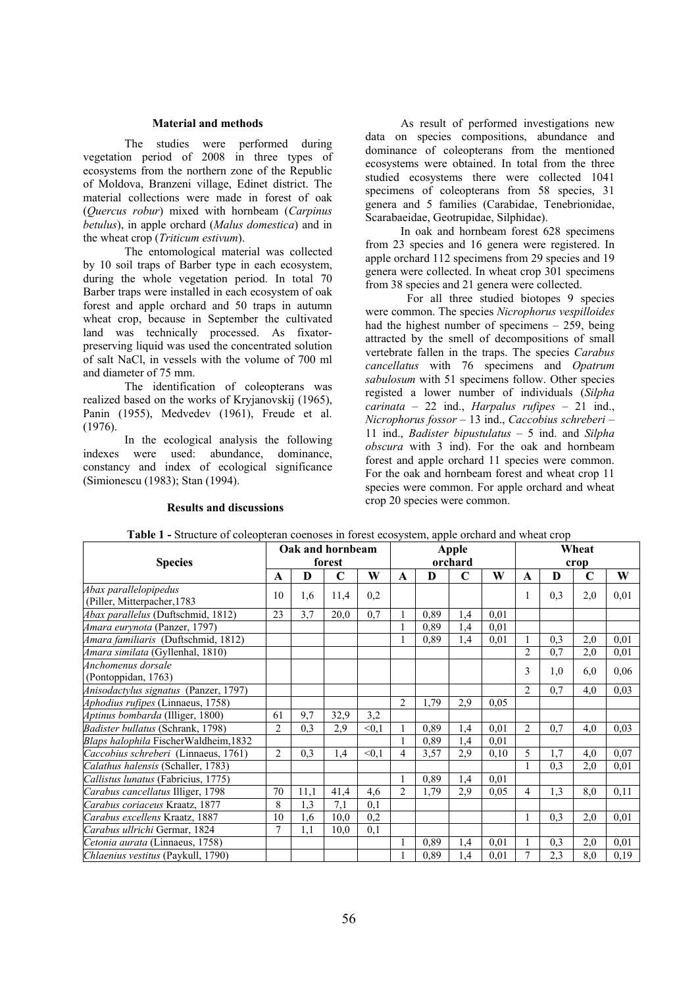# **Material and methods**

The studies were performed during vegetation period of 2008 in three types of ecosystems from the northern zone of the Republic of Moldova, Branzeni village, Edinet district. The material collections were made in forest of oak (*Quercus robur*) mixed with hornbeam (*Carpinus betulus*), in apple orchard (*Malus domestica*) and in the wheat crop (*Triticum estivum*).

The entomological material was collected by 10 soil traps of Barber type in each ecosystem, during the whole vegetation period. In total 70 Barber traps were installed in each ecosystem of oak forest and apple orchard and 50 traps in autumn wheat crop, because in September the cultivated land was technically processed. As fixatorpreserving liquid was used the concentrated solution of salt NaCl, in vessels with the volume of 700 ml and diameter of 75 mm.

The identification of coleopterans was realized based on the works of Kryjanovskij (1965), Panin (1955), Medvedev (1961), Freude et al. (1976).

 In the ecological analysis the following indexes were used: abundance, dominance, constancy and index of ecological significance (Simionescu (1983); Stan (1994).

#### **Results and discussions**

As result of performed investigations new data on species compositions, abundance and dominance of coleopterans from the mentioned ecosystems were obtained. In total from the three studied ecosystems there were collected 1041 specimens of coleopterans from 58 species, 31 genera and 5 families (Carabidae, Tenebrionidae, Scarabaeidae, Geotrupidae, Silphidae).

In oak and hornbeam forest 628 specimens from 23 species and 16 genera were registered. In apple orchard 112 specimens from 29 species and 19 genera were collected. In wheat crop 301 specimens from 38 species and 21 genera were collected.

For all three studied biotopes 9 species were common. The species *Nicrophorus vespilloides* had the highest number of specimens – 259, being attracted by the smell of decompositions of small vertebrate fallen in the traps. The species *Carabus cancellatus* with 76 specimens and *Opatrum sabulosum* with 51 specimens follow. Other species registed a lower number of individuals (*Silpha carinata* – 22 ind., *Harpalus rufipes –* 21 ind., *Nicrophorus fossor –* 13 ind., *Caccobius schreberi* – 11 ind., *Badister bipustulatus* – 5 ind. and *Silpha obscura* with 3 ind). For the oak and hornbeam forest and apple orchard 11 species were common. For the oak and hornbeam forest and wheat crop 11 species were common. For apple orchard and wheat crop 20 species were common.

|                                                       | Oak and hornbeam<br>forest |      |      |        | <b>Apple</b><br>orchard |      |     |      | Wheat<br>crop  |     |     |      |
|-------------------------------------------------------|----------------------------|------|------|--------|-------------------------|------|-----|------|----------------|-----|-----|------|
| <b>Species</b>                                        |                            |      |      |        |                         |      |     |      |                |     |     |      |
|                                                       | A                          | D    | C    | W      | A                       | D    | C   | W    | A              | D   | C   | W    |
| Abax parallelopipedus<br>(Piller, Mitterpacher, 1783) | 10                         | 1,6  | 11,4 | 0,2    |                         |      |     |      | 1              | 0,3 | 2,0 | 0,01 |
| Abax parallelus (Duftschmid, 1812)                    | 23                         | 3,7  | 20,0 | 0,7    |                         | 0,89 | 1,4 | 0,01 |                |     |     |      |
| Amara eurynota (Panzer, 1797)                         |                            |      |      |        |                         | 0,89 | 1,4 | 0,01 |                |     |     |      |
| Amara familiaris (Duftschmid, 1812)                   |                            |      |      |        |                         | 0,89 | 1,4 | 0,01 | 1              | 0.3 | 2,0 | 0,01 |
| Amara similata (Gyllenhal, 1810)                      |                            |      |      |        |                         |      |     |      | $\overline{2}$ | 0,7 | 2,0 | 0,01 |
| Anchomenus dorsale<br>(Pontoppidan, 1763)             |                            |      |      |        |                         |      |     |      | 3              | 1,0 | 6,0 | 0,06 |
| Anisodactylus signatus (Panzer, 1797)                 |                            |      |      |        |                         |      |     |      | 2              | 0,7 | 4,0 | 0,03 |
| Aphodius rufipes (Linnaeus, 1758)                     |                            |      |      |        | $\overline{c}$          | 1,79 | 2,9 | 0.05 |                |     |     |      |
| Aptinus bombarda (Illiger, 1800)                      | 61                         | 9,7  | 32,9 | 3,2    |                         |      |     |      |                |     |     |      |
| Badister bullatus (Schrank, 1798)                     | $\overline{2}$             | 0.3  | 2,9  | < 0.1  |                         | 0,89 | 1,4 | 0,01 | $\overline{2}$ | 0,7 | 4,0 | 0,03 |
| Blaps halophila FischerWaldheim, 1832                 |                            |      |      |        |                         | 0,89 | 1,4 | 0,01 |                |     |     |      |
| Caccobius schreberi (Linnaeus, 1761)                  | $\overline{2}$             | 0.3  | 1,4  | < 0, 1 | 4                       | 3,57 | 2,9 | 0,10 | 5              | 1,7 | 4,0 | 0,07 |
| Calathus halensis (Schaller, 1783)                    |                            |      |      |        |                         |      |     |      |                | 0.3 | 2,0 | 0,01 |
| Callistus lunatus (Fabricius, 1775)                   |                            |      |      |        |                         | 0,89 | 1,4 | 0,01 |                |     |     |      |
| Carabus cancellatus Illiger, 1798                     | 70                         | 11,1 | 41,4 | 4,6    | 2                       | 1,79 | 2.9 | 0.05 | 4              | 1,3 | 8,0 | 0,11 |
| Carabus coriaceus Kraatz, 1877                        | 8                          | 1,3  | 7,1  | 0,1    |                         |      |     |      |                |     |     |      |
| Carabus excellens Kraatz, 1887                        | 10                         | 1,6  | 10,0 | 0.2    |                         |      |     |      |                | 0,3 | 2,0 | 0,01 |
| Carabus ullrichi Germar, 1824                         | 7                          | 1,1  | 10,0 | 0,1    |                         |      |     |      |                |     |     |      |
| Cetonia aurata (Linnaeus, 1758)                       |                            |      |      |        |                         | 0,89 | 1,4 | 0,01 |                | 0.3 | 2,0 | 0,01 |
| <i>Chlaenius vestitus</i> (Paykull, 1790)             |                            |      |      |        |                         | 0,89 | 1,4 | 0,01 | $\tau$         | 2,3 | 8,0 | 0,19 |

**Table 1 -** Structure of coleopteran coenoses in forest ecosystem, apple orchard and wheat crop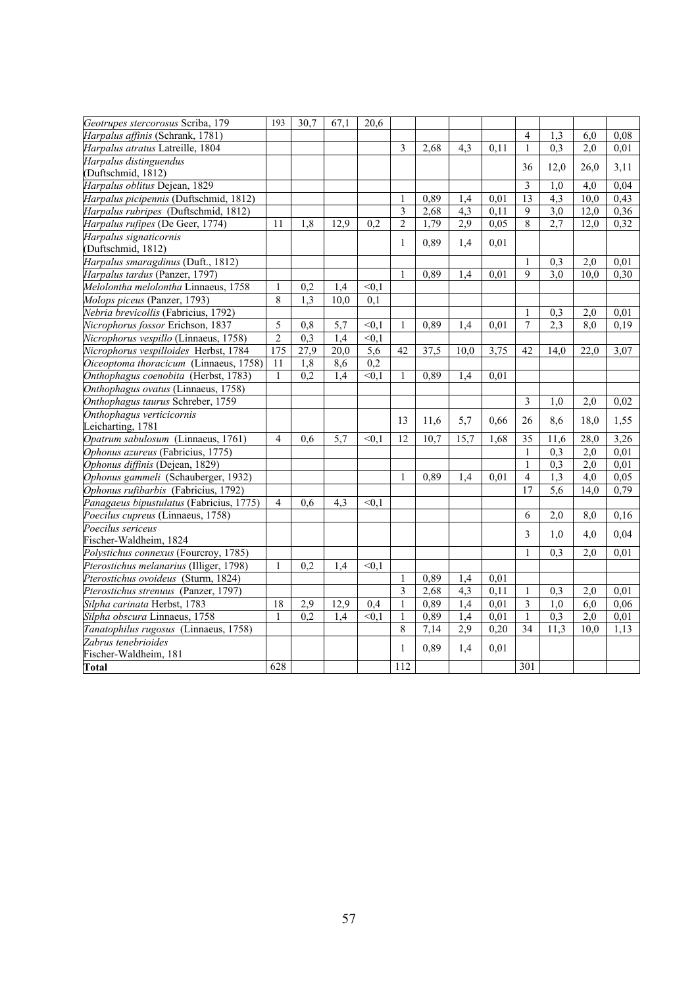| Geotrupes stercorosus Scriba, 179        | 193            | 30.7             | 67,1             | 20,6              |                |      |                  |      |                |                  |                  |      |
|------------------------------------------|----------------|------------------|------------------|-------------------|----------------|------|------------------|------|----------------|------------------|------------------|------|
| Harpalus affinis (Schrank, 1781)         |                |                  |                  |                   |                |      |                  |      | 4              | 1,3              | 6,0              | 0.08 |
| Harpalus atratus Latreille, 1804         |                |                  |                  |                   | $\mathfrak{Z}$ | 2,68 | 4,3              | 0,11 | $\mathbf{1}$   | 0,3              | $\overline{2,0}$ | 0,01 |
| Harpalus distinguendus                   |                |                  |                  |                   |                |      |                  |      |                |                  |                  |      |
| (Duftschmid, 1812)                       |                |                  |                  |                   |                |      |                  |      | 36             | 12,0             | 26,0             | 3,11 |
| Harpalus oblitus Dejean, 1829            |                |                  |                  |                   |                |      |                  |      | 3              | 1.0              | 4,0              | 0,04 |
| Harpalus picipennis (Duftschmid, 1812)   |                |                  |                  |                   | 1              | 0,89 | 1,4              | 0,01 | 13             | $\overline{4,3}$ | 10,0             | 0,43 |
| Harpalus rubripes (Duftschmid, 1812)     |                |                  |                  |                   | 3              | 2,68 | 4,3              | 0,11 | 9              | 3,0              | 12,0             | 0,36 |
| Harpalus rufipes (De Geer, 1774)         | 11             | 1,8              | 12,9             | 0,2               | $\overline{2}$ | 1,79 | 2,9              | 0.05 | $\mathbf{8}$   | 2,7              | 12,0             | 0,32 |
| Harpalus signaticornis                   |                |                  |                  |                   | $\mathbf{1}$   | 0,89 | 1,4              | 0,01 |                |                  |                  |      |
| (Duftschmid, 1812)                       |                |                  |                  |                   |                |      |                  |      |                |                  |                  |      |
| Harpalus smaragdinus (Duft., 1812)       |                |                  |                  |                   |                |      |                  |      | 1              | 0.3              | 2,0              | 0,01 |
| Harpalus tardus (Panzer, 1797)           |                |                  |                  |                   |                | 0,89 | 1.4              | 0,01 | $\mathbf Q$    | 3.0              | 10,0             | 0,30 |
| Melolontha melolontha Linnaeus, 1758     | $\mathbf{1}$   | 0,2              | 1,4              | $\leq 0,1$        |                |      |                  |      |                |                  |                  |      |
| Molops piceus (Panzer, 1793)             | 8              | 1,3              | 10,0             | 0,1               |                |      |                  |      |                |                  |                  |      |
| Nebria brevicollis (Fabricius, 1792)     |                |                  |                  |                   |                |      |                  |      | 1              | 0,3              | 2,0              | 0,01 |
| Nicrophorus fossor Erichson, 1837        | 5              | $\overline{0,8}$ | $\overline{5,7}$ | $\leq 0,1$        | 1              | 0,89 | 1,4              | 0,01 | $\overline{7}$ | $\overline{2.3}$ | 8,0              | 0,19 |
| Nicrophorus vespillo (Linnaeus, 1758)    | $\overline{2}$ | 0,3              | 1.4              | $\overline{50,1}$ |                |      |                  |      |                |                  |                  |      |
| Nicrophorus vespilloides Herbst, 1784    | 175            | 27,9             | 20,0             | $\overline{5,6}$  | 42             | 37,5 | 10,0             | 3,75 | 42             | 14,0             | 22,0             | 3,07 |
| Oiceoptoma thoracicum (Linnaeus, 1758)   | 11             | 1,8              | 8,6              | 0,2               |                |      |                  |      |                |                  |                  |      |
| Onthophagus coenobita (Herbst, 1783)     | $\mathbf{1}$   | 0,2              | 1.4              | < 0.1             | 1              | 0,89 | 1.4              | 0.01 |                |                  |                  |      |
| Onthophagus ovatus (Linnaeus, 1758)      |                |                  |                  |                   |                |      |                  |      |                |                  |                  |      |
| Onthophagus taurus Schreber, 1759        |                |                  |                  |                   |                |      |                  |      | 3              | 1,0              | 2,0              | 0,02 |
| Onthophagus verticicornis                |                |                  |                  |                   | 13             | 11,6 | 5,7              | 0,66 | 26             | 8,6              | 18,0             | 1,55 |
| Leicharting, 1781                        |                |                  |                  |                   |                |      |                  |      |                |                  |                  |      |
| Opatrum sabulosum (Linnaeus, 1761)       | $\overline{4}$ | 0,6              | 5,7              | < 0.1             | 12             | 10,7 | 15,7             | 1.68 | 35             | 11.6             | 28,0             | 3,26 |
| Ophonus azureus (Fabricius, 1775)        |                |                  |                  |                   |                |      |                  |      | 1              | 0.3              | 2,0              | 0,01 |
| Ophonus diffinis (Dejean, 1829)          |                |                  |                  |                   |                |      |                  |      | $\mathbf{1}$   | 0,3              | 2,0              | 0,01 |
| Ophonus gammeli (Schauberger, 1932)      |                |                  |                  |                   | $\mathbf{1}$   | 0,89 | 1,4              | 0.01 | $\overline{4}$ | 1,3              | $\overline{4,0}$ | 0,05 |
| Ophonus rufibarbis (Fabricius, 1792)     |                |                  |                  |                   |                |      |                  |      | 17             | 5,6              | 14.0             | 0,79 |
| Panagaeus bipustulatus (Fabricius, 1775) | 4              | 0,6              | 4,3              | < 0.1             |                |      |                  |      |                |                  |                  |      |
| Poecilus cupreus (Linnaeus, 1758)        |                |                  |                  |                   |                |      |                  |      | 6              | 2.0              | 8,0              | 0,16 |
| Poecilus sericeus                        |                |                  |                  |                   |                |      |                  |      | 3              | 1,0              | 4,0              | 0,04 |
| Fischer-Waldheim, 1824                   |                |                  |                  |                   |                |      |                  |      |                |                  |                  |      |
| Polystichus connexus (Fourcroy, 1785)    |                |                  |                  |                   |                |      |                  |      | $\mathbf{1}$   | 0,3              | 2,0              | 0,01 |
| Pterostichus melanarius (Illiger, 1798)  | $\mathbf{1}$   | 0,2              | 1,4              | < 0, 1            |                |      |                  |      |                |                  |                  |      |
| Pterostichus ovoideus (Sturm, 1824)      |                |                  |                  |                   | 1              | 0,89 | 1,4              | 0,01 |                |                  |                  |      |
| Pterostichus strenuus (Panzer, 1797)     |                |                  |                  |                   | 3              | 2,68 | $\overline{4,3}$ | 0,11 | 1              | 0,3              | 2,0              | 0,01 |
| Silpha carinata Herbst, 1783             | 18             | 2,9              | 12,9             | 0.4               | $\mathbf{1}$   | 0,89 | 1,4              | 0.01 | 3              | 1.0              | 6,0              | 0,06 |
| Silpha obscura Linnaeus, 1758            | 1              | 0,2              | 1,4              | < 0.1             | 1              | 0,89 | 1,4              | 0,01 | 1              | 0,3              | 2,0              | 0,01 |
| Tanatophilus rugosus (Linnaeus, 1758)    |                |                  |                  |                   | 8              | 7,14 | 2,9              | 0,20 | 34             | 11,3             | 10,0             | 1,13 |
| Zabrus tenebrioides                      |                |                  |                  |                   | 1              | 0,89 | 1,4              | 0,01 |                |                  |                  |      |
| Fischer-Waldheim, 181                    |                |                  |                  |                   |                |      |                  |      |                |                  |                  |      |
| <b>Total</b>                             | 628            |                  |                  |                   | 112            |      |                  |      | 301            |                  |                  |      |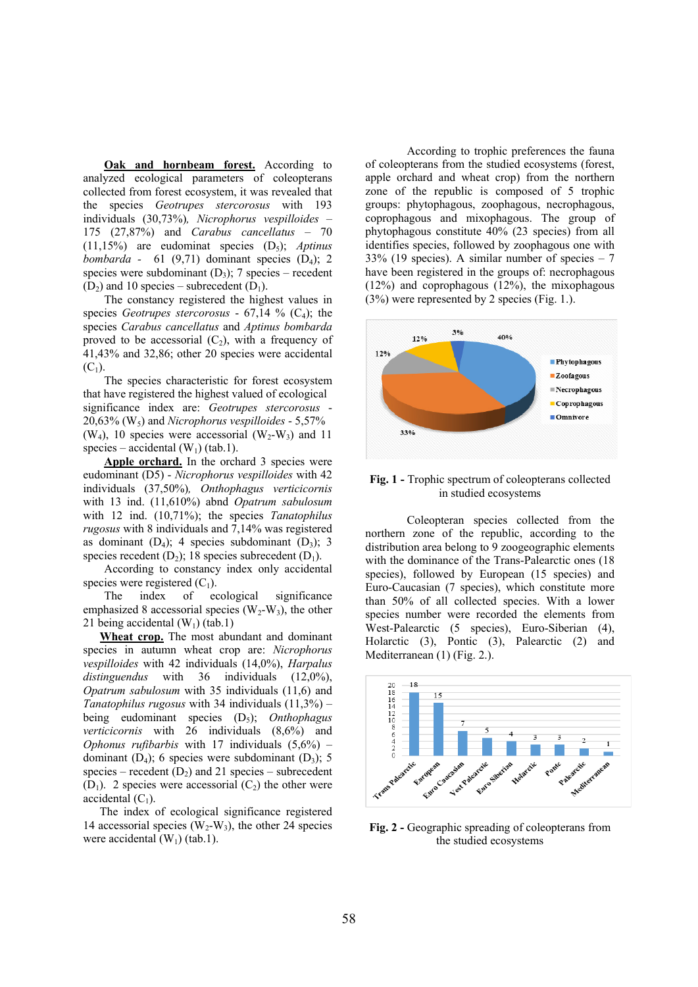**Oak and hornbeam forest.** According to analyzed ecological parameters of coleopterans collected from forest ecosystem, it was revealed that the species *Geotrupes stercorosus* with 193 individuals (30,73%)*, Nicrophorus vespilloides* – 175 (27,87%) and *Carabus cancellatus* – 70  $(11,15\%)$  are eudominat species  $(D_5)$ ; *Aptinus bombarda* - 61 (9,71) dominant species  $(D_4)$ ; 2 species were subdominant  $(D_3)$ ; 7 species – recedent  $(D<sub>2</sub>)$  and 10 species – subrecedent  $(D<sub>1</sub>)$ .

The constancy registered the highest values in species *Geotrupes stercorosus* - 67,14 % (C4); the species *Carabus cancellatus* and *Aptinus bombarda* proved to be accessorial  $(C_2)$ , with a frequency of 41,43% and 32,86; other 20 species were accidental  $(C_1)$ .

The species characteristic for forest ecosystem that have registered the highest valued of ecological significance index are: *Geotrupes stercorosus* - 20,63% (W5) and *Nicrophorus vespilloides* - 5,57%  $(W_4)$ , 10 species were accessorial  $(W_2-W_3)$  and 11 species – accidental  $(W_1)$  (tab.1).

Apple orchard. In the orchard 3 species were eudominant (D5) - *Nicrophorus vespilloides* with 42 individuals (37,50%)*, Onthophagus verticicornis* with 13 ind. (11,610%) abnd *Opatrum sabulosum* with 12 ind. (10,71%); the species *Tanatophilus rugosus* with 8 individuals and 7,14% was registered as dominant  $(D_4)$ ; 4 species subdominant  $(D_3)$ ; 3 species recedent  $(D_2)$ ; 18 species subrecedent  $(D_1)$ .

According to constancy index only accidental species were registered  $(C_1)$ .<br>The index of ec

of ecological significance emphasized 8 accessorial species  $(W_2-W_3)$ , the other 21 being accidental  $(W_1)$  (tab.1)

**Wheat crop.** The most abundant and dominant species in autumn wheat crop are: *Nicrophorus vespilloides* with 42 individuals (14,0%), *Harpalus distinguendus* with 36 individuals (12,0%), *Opatrum sabulosum* with 35 individuals (11,6) and *Tanatophilus rugosus* with 34 individuals (11,3%) – being eudominant species (D5); *Onthophagus verticicornis* with 26 individuals (8,6%) and *Ophonus rufibarbis* with 17 individuals (5,6%) – dominant  $(D_4)$ ; 6 species were subdominant  $(D_3)$ ; 5 species – recedent  $(D_2)$  and 21 species – subrecedent  $(D_1)$ . 2 species were accessorial  $(C_2)$  the other were accidental  $(C_1)$ .

The index of ecological significance registered 14 accessorial species  $(W_2-W_3)$ , the other 24 species were accidental  $(W_1)$  (tab.1).

According to trophic preferences the fauna of coleopterans from the studied ecosystems (forest, apple orchard and wheat crop) from the northern zone of the republic is composed of 5 trophic groups: phytophagous, zoophagous, necrophagous, coprophagous and mixophagous. The group of phytophagous constitute 40% (23 species) from all identifies species, followed by zoophagous one with 33% (19 species). A similar number of species  $-7$ have been registered in the groups of: necrophagous (12%) and coprophagous (12%), the mixophagous (3%) were represented by 2 species (Fig. 1.).



# **Fig. 1 -** Trophic spectrum of coleopterans collected in studied ecosystems

Coleopteran species collected from the northern zone of the republic, according to the distribution area belong to 9 zoogeographic elements with the dominance of the Trans-Palearctic ones (18 species), followed by European (15 species) and Euro-Caucasian (7 species), which constitute more than 50% of all collected species. With a lower species number were recorded the elements from West-Palearctic (5 species), Euro-Siberian (4), Holarctic (3), Pontic (3), Palearctic (2) and Mediterranean (1) (Fig. 2.).



Fig. 2 - Geographic spreading of coleopterans from the studied ecosystems